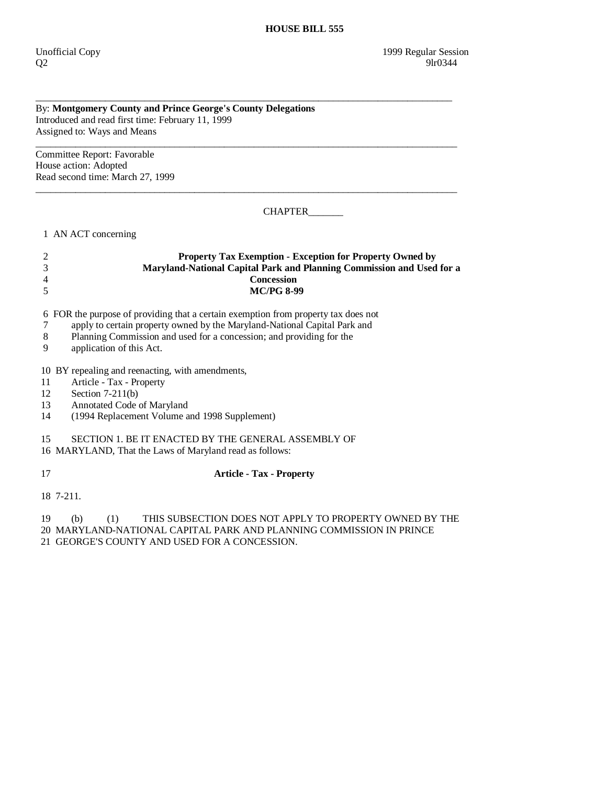## By: **Montgomery County and Prince George's County Delegations**  Introduced and read first time: February 11, 1999 Assigned to: Ways and Means

 $\overline{\phantom{a}}$  ,  $\overline{\phantom{a}}$  ,  $\overline{\phantom{a}}$  ,  $\overline{\phantom{a}}$  ,  $\overline{\phantom{a}}$  ,  $\overline{\phantom{a}}$  ,  $\overline{\phantom{a}}$  ,  $\overline{\phantom{a}}$  ,  $\overline{\phantom{a}}$  ,  $\overline{\phantom{a}}$  ,  $\overline{\phantom{a}}$  ,  $\overline{\phantom{a}}$  ,  $\overline{\phantom{a}}$  ,  $\overline{\phantom{a}}$  ,  $\overline{\phantom{a}}$  ,  $\overline{\phantom{a}}$ Committee Report: Favorable House action: Adopted Read second time: March 27, 1999

CHAPTER\_\_\_\_\_\_\_

1 AN ACT concerning

## 2 **Property Tax Exemption - Exception for Property Owned by**  3 **Maryland-National Capital Park and Planning Commission and Used for a**  4 **Concession**  5 **MC/PG 8-99**

\_\_\_\_\_\_\_\_\_\_\_\_\_\_\_\_\_\_\_\_\_\_\_\_\_\_\_\_\_\_\_\_\_\_\_\_\_\_\_\_\_\_\_\_\_\_\_\_\_\_\_\_\_\_\_\_\_\_\_\_\_\_\_\_\_\_\_\_\_\_\_\_\_\_\_\_\_\_\_\_\_\_\_\_

 $\overline{\phantom{a}}$  ,  $\overline{\phantom{a}}$  ,  $\overline{\phantom{a}}$  ,  $\overline{\phantom{a}}$  ,  $\overline{\phantom{a}}$  ,  $\overline{\phantom{a}}$  ,  $\overline{\phantom{a}}$  ,  $\overline{\phantom{a}}$  ,  $\overline{\phantom{a}}$  ,  $\overline{\phantom{a}}$  ,  $\overline{\phantom{a}}$  ,  $\overline{\phantom{a}}$  ,  $\overline{\phantom{a}}$  ,  $\overline{\phantom{a}}$  ,  $\overline{\phantom{a}}$  ,  $\overline{\phantom{a}}$ 

6 FOR the purpose of providing that a certain exemption from property tax does not

7 apply to certain property owned by the Maryland-National Capital Park and

8 Planning Commission and used for a concession; and providing for the application of this Act.

application of this Act.

10 BY repealing and reenacting, with amendments,

11 Article - Tax - Property

12 Section 7-211(b)<br>13 Annotated Code

Annotated Code of Maryland

14 (1994 Replacement Volume and 1998 Supplement)

15 SECTION 1. BE IT ENACTED BY THE GENERAL ASSEMBLY OF

16 MARYLAND, That the Laws of Maryland read as follows:

## 17 **Article - Tax - Property**

18 7-211.

 19 (b) (1) THIS SUBSECTION DOES NOT APPLY TO PROPERTY OWNED BY THE 20 MARYLAND-NATIONAL CAPITAL PARK AND PLANNING COMMISSION IN PRINCE 21 GEORGE'S COUNTY AND USED FOR A CONCESSION.